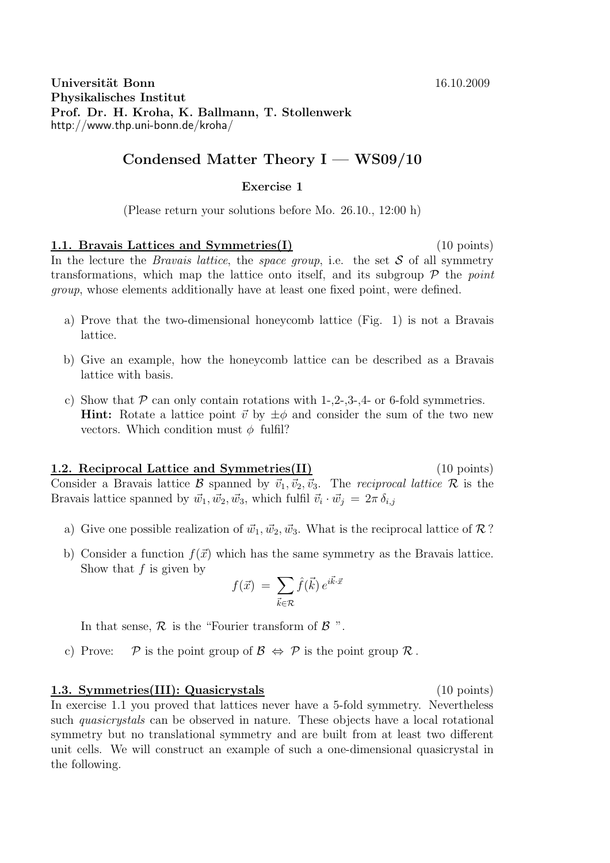## Condensed Matter Theory  $I - WS09/10$

## Exercise 1

(Please return your solutions before Mo. 26.10., 12:00 h)

1.1. Bravais Lattices and Symmetries(I) (10 points) In the lecture the *Bravais lattice*, the *space group*, i.e. the set  $S$  of all symmetry transformations, which map the lattice onto itself, and its subgroup  $\mathcal P$  the point group, whose elements additionally have at least one fixed point, were defined.

- a) Prove that the two-dimensional honeycomb lattice (Fig. 1) is not a Bravais lattice.
- b) Give an example, how the honeycomb lattice can be described as a Bravais lattice with basis.
- c) Show that  $P$  can only contain rotations with 1-,2-,3-,4- or 6-fold symmetries. **Hint:** Rotate a lattice point  $\vec{v}$  by  $\pm \phi$  and consider the sum of the two new vectors. Which condition must  $\phi$  fulfil?

1.2. Reciprocal Lattice and Symmetries(II) (10 points) Consider a Bravais lattice B spanned by  $\vec{v}_1, \vec{v}_2, \vec{v}_3$ . The reciprocal lattice R is the Bravais lattice spanned by  $\vec{w}_1, \vec{w}_2, \vec{w}_3$ , which fulfil  $\vec{v}_i \cdot \vec{w}_j = 2\pi \delta_{i,j}$ 

- a) Give one possible realization of  $\vec{w}_1, \vec{w}_2, \vec{w}_3$ . What is the reciprocal lattice of R ?
- b) Consider a function  $f(\vec{x})$  which has the same symmetry as the Bravais lattice. Show that  $f$  is given by

$$
f(\vec{x})\ =\ \sum_{\vec{k}\in\mathcal{R}}\hat{f}(\vec{k})\,e^{i\vec{k}\cdot\vec{x}}
$$

In that sense,  $R$  is the "Fourier transform of  $B$ ".

c) Prove:  $\mathcal P$  is the point group of  $\mathcal B \Leftrightarrow \mathcal P$  is the point group  $\mathcal R$ .

## 1.3. Symmetries(III): Quasicrystals (10 points)

In exercise 1.1 you proved that lattices never have a 5-fold symmetry. Nevertheless such *quasicrystals* can be observed in nature. These objects have a local rotational symmetry but no translational symmetry and are built from at least two different unit cells. We will construct an example of such a one-dimensional quasicrystal in the following.